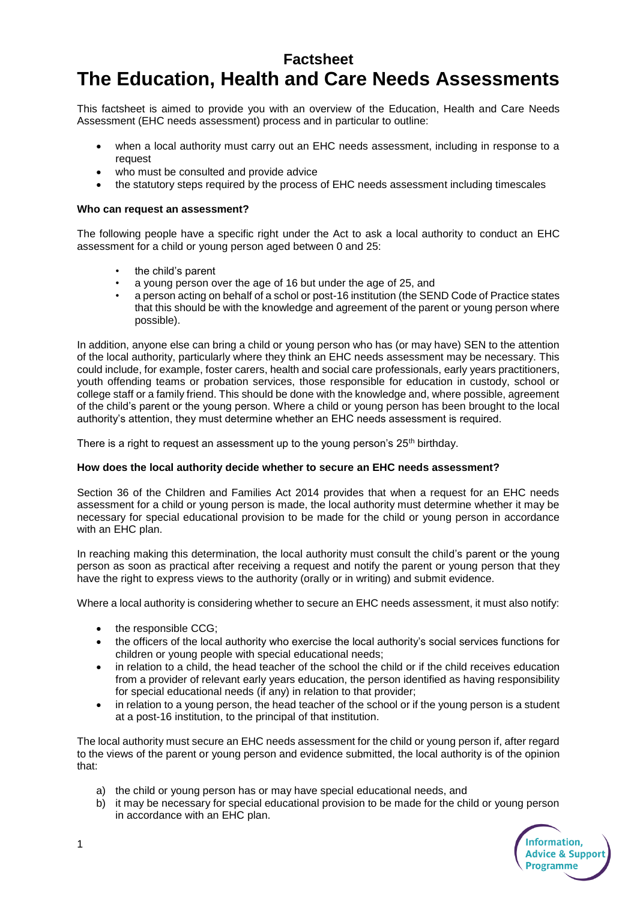# **Factsheet The Education, Health and Care Needs Assessments**

This factsheet is aimed to provide you with an overview of the Education, Health and Care Needs Assessment (EHC needs assessment) process and in particular to outline:

- when a local authority must carry out an EHC needs assessment, including in response to a request
- who must be consulted and provide advice
- the statutory steps required by the process of EHC needs assessment including timescales

## **Who can request an assessment?**

The following people have a specific right under the Act to ask a local authority to conduct an EHC assessment for a child or young person aged between 0 and 25:

- the child's parent
- a young person over the age of 16 but under the age of 25, and
- a person acting on behalf of a schol or post-16 institution (the SEND Code of Practice states that this should be with the knowledge and agreement of the parent or young person where possible).

In addition, anyone else can bring a child or young person who has (or may have) SEN to the attention of the local authority, particularly where they think an EHC needs assessment may be necessary. This could include, for example, foster carers, health and social care professionals, early years practitioners, youth offending teams or probation services, those responsible for education in custody, school or college staff or a family friend. This should be done with the knowledge and, where possible, agreement of the child's parent or the young person. Where a child or young person has been brought to the local authority's attention, they must determine whether an EHC needs assessment is required.

There is a right to request an assessment up to the young person's  $25<sup>th</sup>$  birthday.

#### **How does the local authority decide whether to secure an EHC needs assessment?**

Section 36 of the Children and Families Act 2014 provides that when a request for an EHC needs assessment for a child or young person is made, the local authority must determine whether it may be necessary for special educational provision to be made for the child or young person in accordance with an EHC plan.

In reaching making this determination, the local authority must consult the child's parent or the young person as soon as practical after receiving a request and notify the parent or young person that they have the right to express views to the authority (orally or in writing) and submit evidence.

Where a local authority is considering whether to secure an EHC needs assessment, it must also notify:

- the responsible CCG;
- the officers of the local authority who exercise the local authority's social services functions for children or young people with special educational needs;
- in relation to a child, the head teacher of the school the child or if the child receives education from a provider of relevant early years education, the person identified as having responsibility for special educational needs (if any) in relation to that provider;
- in relation to a young person, the head teacher of the school or if the young person is a student at a post-16 institution, to the principal of that institution.

The local authority must secure an EHC needs assessment for the child or young person if, after regard to the views of the parent or young person and evidence submitted, the local authority is of the opinion that:

- a) the child or young person has or may have special educational needs, and
- b) it may be necessary for special educational provision to be made for the child or young person in accordance with an EHC plan.

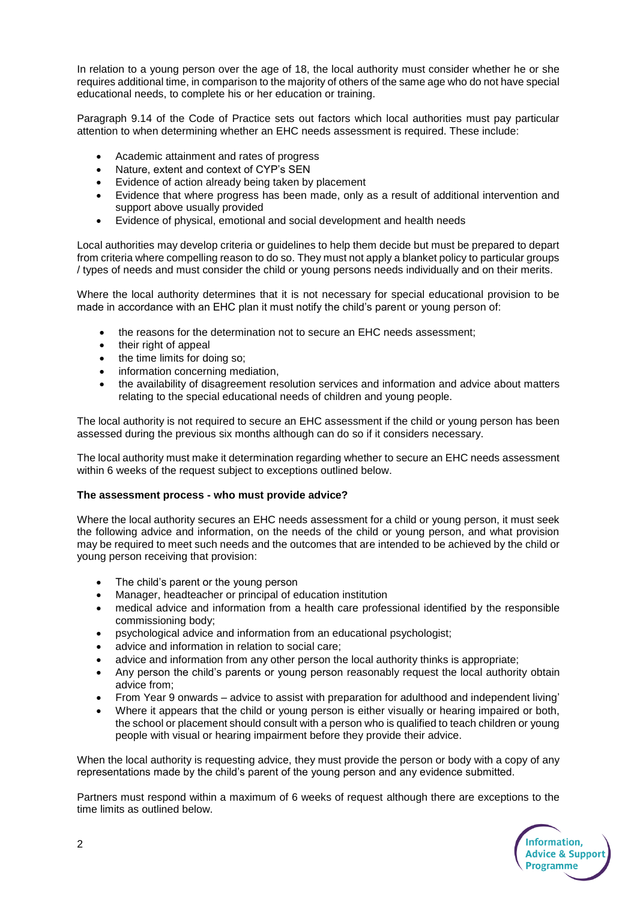In relation to a young person over the age of 18, the local authority must consider whether he or she requires additional time, in comparison to the majority of others of the same age who do not have special educational needs, to complete his or her education or training.

Paragraph 9.14 of the Code of Practice sets out factors which local authorities must pay particular attention to when determining whether an EHC needs assessment is required. These include:

- Academic attainment and rates of progress
- Nature, extent and context of CYP's SEN
- Evidence of action already being taken by placement
- Evidence that where progress has been made, only as a result of additional intervention and support above usually provided
- Evidence of physical, emotional and social development and health needs

Local authorities may develop criteria or guidelines to help them decide but must be prepared to depart from criteria where compelling reason to do so. They must not apply a blanket policy to particular groups / types of needs and must consider the child or young persons needs individually and on their merits.

Where the local authority determines that it is not necessary for special educational provision to be made in accordance with an EHC plan it must notify the child's parent or young person of:

- the reasons for the determination not to secure an EHC needs assessment;
- their right of appeal
- the time limits for doing so;
- information concerning mediation,
- the availability of disagreement resolution services and information and advice about matters relating to the special educational needs of children and young people.

The local authority is not required to secure an EHC assessment if the child or young person has been assessed during the previous six months although can do so if it considers necessary.

The local authority must make it determination regarding whether to secure an EHC needs assessment within 6 weeks of the request subject to exceptions outlined below.

#### **The assessment process - who must provide advice?**

Where the local authority secures an EHC needs assessment for a child or young person, it must seek the following advice and information, on the needs of the child or young person, and what provision may be required to meet such needs and the outcomes that are intended to be achieved by the child or young person receiving that provision:

- The child's parent or the young person
- Manager, headteacher or principal of education institution
- medical advice and information from a health care professional identified by the responsible commissioning body;
- psychological advice and information from an educational psychologist;
- advice and information in relation to social care;
- advice and information from any other person the local authority thinks is appropriate;
- Any person the child's parents or young person reasonably request the local authority obtain advice from;
- From Year 9 onwards advice to assist with preparation for adulthood and independent living'
- Where it appears that the child or young person is either visually or hearing impaired or both, the school or placement should consult with a person who is qualified to teach children or young people with visual or hearing impairment before they provide their advice.

When the local authority is requesting advice, they must provide the person or body with a copy of any representations made by the child's parent of the young person and any evidence submitted.

Partners must respond within a maximum of 6 weeks of request although there are exceptions to the time limits as outlined below.

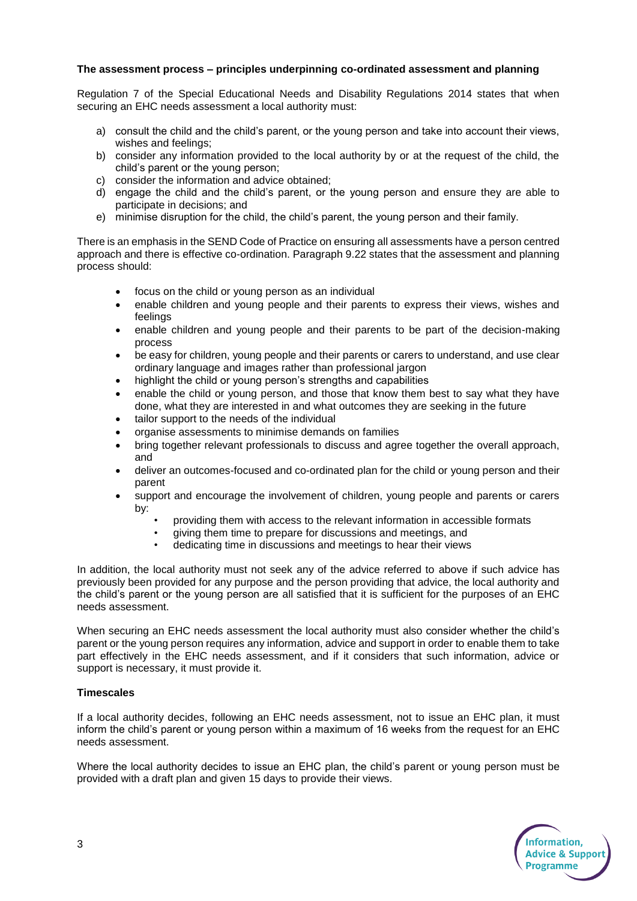## **The assessment process – principles underpinning co-ordinated assessment and planning**

Regulation 7 of the Special Educational Needs and Disability Regulations 2014 states that when securing an EHC needs assessment a local authority must:

- a) consult the child and the child's parent, or the young person and take into account their views, wishes and feelings;
- b) consider any information provided to the local authority by or at the request of the child, the child's parent or the young person;
- c) consider the information and advice obtained;
- d) engage the child and the child's parent, or the young person and ensure they are able to participate in decisions; and
- e) minimise disruption for the child, the child's parent, the young person and their family.

There is an emphasis in the SEND Code of Practice on ensuring all assessments have a person centred approach and there is effective co-ordination. Paragraph 9.22 states that the assessment and planning process should:

- focus on the child or young person as an individual
- enable children and young people and their parents to express their views, wishes and feelings
- enable children and young people and their parents to be part of the decision-making process
- be easy for children, young people and their parents or carers to understand, and use clear ordinary language and images rather than professional jargon
- highlight the child or young person's strengths and capabilities
- enable the child or young person, and those that know them best to say what they have done, what they are interested in and what outcomes they are seeking in the future
- tailor support to the needs of the individual
- organise assessments to minimise demands on families
- bring together relevant professionals to discuss and agree together the overall approach, and
- deliver an outcomes-focused and co-ordinated plan for the child or young person and their parent
- support and encourage the involvement of children, young people and parents or carers by:
	- providing them with access to the relevant information in accessible formats
	- giving them time to prepare for discussions and meetings, and
	- dedicating time in discussions and meetings to hear their views

In addition, the local authority must not seek any of the advice referred to above if such advice has previously been provided for any purpose and the person providing that advice, the local authority and the child's parent or the young person are all satisfied that it is sufficient for the purposes of an EHC needs assessment.

When securing an EHC needs assessment the local authority must also consider whether the child's parent or the young person requires any information, advice and support in order to enable them to take part effectively in the EHC needs assessment, and if it considers that such information, advice or support is necessary, it must provide it.

# **Timescales**

If a local authority decides, following an EHC needs assessment, not to issue an EHC plan, it must inform the child's parent or young person within a maximum of 16 weeks from the request for an EHC needs assessment.

Where the local authority decides to issue an EHC plan, the child's parent or young person must be provided with a draft plan and given 15 days to provide their views.